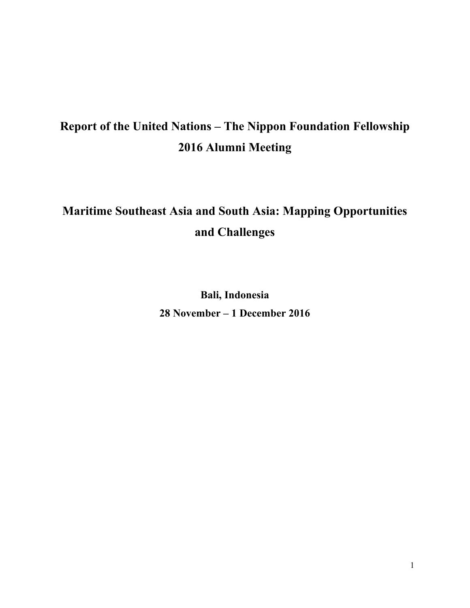# **Report of the United Nations – The Nippon Foundation Fellowship 2016 Alumni Meeting**

# **Maritime Southeast Asia and South Asia: Mapping Opportunities and Challenges**

**Bali, Indonesia 28 November – 1 December 2016**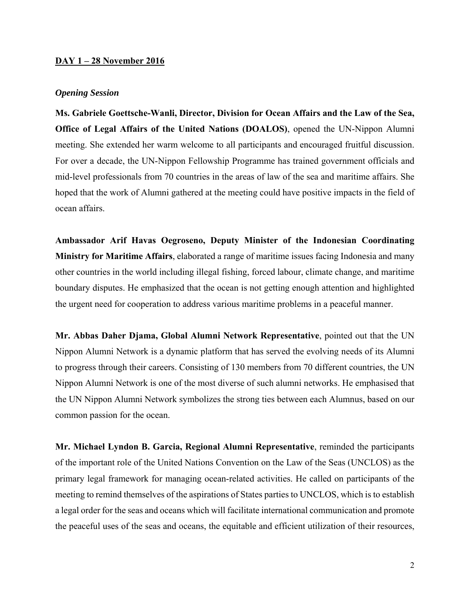### **DAY 1 – 28 November 2016**

### *Opening Session*

**Ms. Gabriele Goettsche-Wanli, Director, Division for Ocean Affairs and the Law of the Sea, Office of Legal Affairs of the United Nations (DOALOS)**, opened the UN-Nippon Alumni meeting. She extended her warm welcome to all participants and encouraged fruitful discussion. For over a decade, the UN-Nippon Fellowship Programme has trained government officials and mid-level professionals from 70 countries in the areas of law of the sea and maritime affairs. She hoped that the work of Alumni gathered at the meeting could have positive impacts in the field of ocean affairs.

**Ambassador Arif Havas Oegroseno, Deputy Minister of the Indonesian Coordinating Ministry for Maritime Affairs**, elaborated a range of maritime issues facing Indonesia and many other countries in the world including illegal fishing, forced labour, climate change, and maritime boundary disputes. He emphasized that the ocean is not getting enough attention and highlighted the urgent need for cooperation to address various maritime problems in a peaceful manner.

**Mr. Abbas Daher Djama, Global Alumni Network Representative**, pointed out that the UN Nippon Alumni Network is a dynamic platform that has served the evolving needs of its Alumni to progress through their careers. Consisting of 130 members from 70 different countries, the UN Nippon Alumni Network is one of the most diverse of such alumni networks. He emphasised that the UN Nippon Alumni Network symbolizes the strong ties between each Alumnus, based on our common passion for the ocean.

**Mr. Michael Lyndon B. Garcia, Regional Alumni Representative**, reminded the participants of the important role of the United Nations Convention on the Law of the Seas (UNCLOS) as the primary legal framework for managing ocean-related activities. He called on participants of the meeting to remind themselves of the aspirations of States parties to UNCLOS, which is to establish a legal order for the seas and oceans which will facilitate international communication and promote the peaceful uses of the seas and oceans, the equitable and efficient utilization of their resources,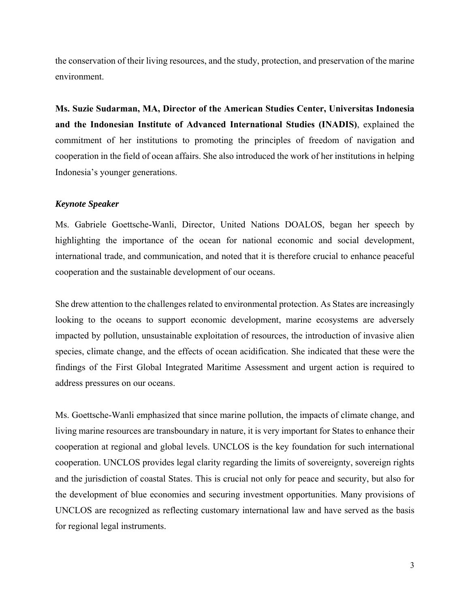the conservation of their living resources, and the study, protection, and preservation of the marine environment.

**Ms. Suzie Sudarman, MA, Director of the American Studies Center, Universitas Indonesia and the Indonesian Institute of Advanced International Studies (INADIS)**, explained the commitment of her institutions to promoting the principles of freedom of navigation and cooperation in the field of ocean affairs. She also introduced the work of her institutions in helping Indonesia's younger generations.

### *Keynote Speaker*

Ms. Gabriele Goettsche-Wanli, Director, United Nations DOALOS, began her speech by highlighting the importance of the ocean for national economic and social development, international trade, and communication, and noted that it is therefore crucial to enhance peaceful cooperation and the sustainable development of our oceans.

She drew attention to the challenges related to environmental protection. As States are increasingly looking to the oceans to support economic development, marine ecosystems are adversely impacted by pollution, unsustainable exploitation of resources, the introduction of invasive alien species, climate change, and the effects of ocean acidification. She indicated that these were the findings of the First Global Integrated Maritime Assessment and urgent action is required to address pressures on our oceans.

Ms. Goettsche-Wanli emphasized that since marine pollution, the impacts of climate change, and living marine resources are transboundary in nature, it is very important for States to enhance their cooperation at regional and global levels. UNCLOS is the key foundation for such international cooperation. UNCLOS provides legal clarity regarding the limits of sovereignty, sovereign rights and the jurisdiction of coastal States. This is crucial not only for peace and security, but also for the development of blue economies and securing investment opportunities. Many provisions of UNCLOS are recognized as reflecting customary international law and have served as the basis for regional legal instruments.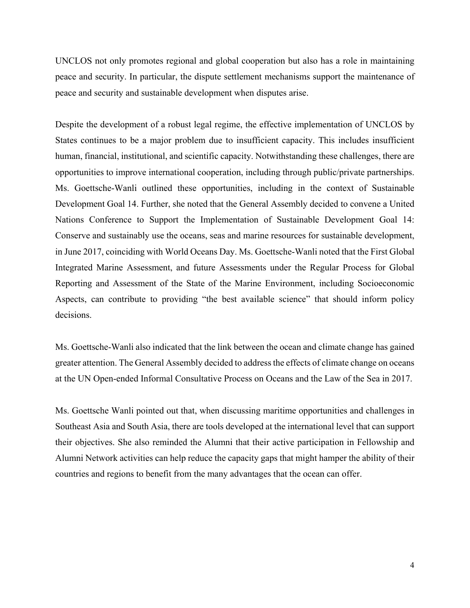UNCLOS not only promotes regional and global cooperation but also has a role in maintaining peace and security. In particular, the dispute settlement mechanisms support the maintenance of peace and security and sustainable development when disputes arise.

Despite the development of a robust legal regime, the effective implementation of UNCLOS by States continues to be a major problem due to insufficient capacity. This includes insufficient human, financial, institutional, and scientific capacity. Notwithstanding these challenges, there are opportunities to improve international cooperation, including through public/private partnerships. Ms. Goettsche-Wanli outlined these opportunities, including in the context of Sustainable Development Goal 14. Further, she noted that the General Assembly decided to convene a United Nations Conference to Support the Implementation of Sustainable Development Goal 14: Conserve and sustainably use the oceans, seas and marine resources for sustainable development, in June 2017, coinciding with World Oceans Day. Ms. Goettsche-Wanli noted that the First Global Integrated Marine Assessment, and future Assessments under the Regular Process for Global Reporting and Assessment of the State of the Marine Environment, including Socioeconomic Aspects, can contribute to providing "the best available science" that should inform policy decisions.

Ms. Goettsche-Wanli also indicated that the link between the ocean and climate change has gained greater attention. The General Assembly decided to address the effects of climate change on oceans at the UN Open-ended Informal Consultative Process on Oceans and the Law of the Sea in 2017.

Ms. Goettsche Wanli pointed out that, when discussing maritime opportunities and challenges in Southeast Asia and South Asia, there are tools developed at the international level that can support their objectives. She also reminded the Alumni that their active participation in Fellowship and Alumni Network activities can help reduce the capacity gaps that might hamper the ability of their countries and regions to benefit from the many advantages that the ocean can offer.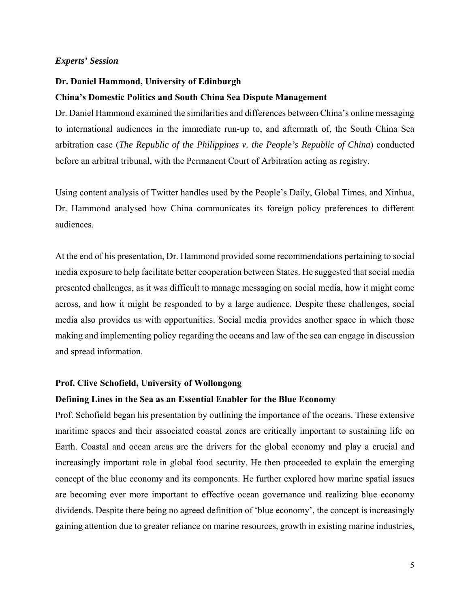### **Dr. Daniel Hammond, University of Edinburgh**

### **China's Domestic Politics and South China Sea Dispute Management**

Dr. Daniel Hammond examined the similarities and differences between China's online messaging to international audiences in the immediate run-up to, and aftermath of, the South China Sea arbitration case (*The Republic of the Philippines v. the People's Republic of China*) conducted before an arbitral tribunal, with the Permanent Court of Arbitration acting as registry.

Using content analysis of Twitter handles used by the People's Daily, Global Times, and Xinhua, Dr. Hammond analysed how China communicates its foreign policy preferences to different audiences.

At the end of his presentation, Dr. Hammond provided some recommendations pertaining to social media exposure to help facilitate better cooperation between States. He suggested that social media presented challenges, as it was difficult to manage messaging on social media, how it might come across, and how it might be responded to by a large audience. Despite these challenges, social media also provides us with opportunities. Social media provides another space in which those making and implementing policy regarding the oceans and law of the sea can engage in discussion and spread information.

#### **Prof. Clive Schofield, University of Wollongong**

### **Defining Lines in the Sea as an Essential Enabler for the Blue Economy**

Prof. Schofield began his presentation by outlining the importance of the oceans. These extensive maritime spaces and their associated coastal zones are critically important to sustaining life on Earth. Coastal and ocean areas are the drivers for the global economy and play a crucial and increasingly important role in global food security. He then proceeded to explain the emerging concept of the blue economy and its components. He further explored how marine spatial issues are becoming ever more important to effective ocean governance and realizing blue economy dividends. Despite there being no agreed definition of 'blue economy', the concept is increasingly gaining attention due to greater reliance on marine resources, growth in existing marine industries,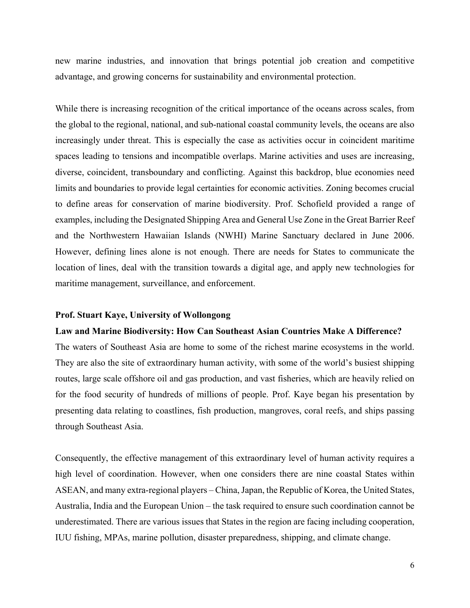new marine industries, and innovation that brings potential job creation and competitive advantage, and growing concerns for sustainability and environmental protection.

While there is increasing recognition of the critical importance of the oceans across scales, from the global to the regional, national, and sub-national coastal community levels, the oceans are also increasingly under threat. This is especially the case as activities occur in coincident maritime spaces leading to tensions and incompatible overlaps. Marine activities and uses are increasing, diverse, coincident, transboundary and conflicting. Against this backdrop, blue economies need limits and boundaries to provide legal certainties for economic activities. Zoning becomes crucial to define areas for conservation of marine biodiversity. Prof. Schofield provided a range of examples, including the Designated Shipping Area and General Use Zone in the Great Barrier Reef and the Northwestern Hawaiian Islands (NWHI) Marine Sanctuary declared in June 2006. However, defining lines alone is not enough. There are needs for States to communicate the location of lines, deal with the transition towards a digital age, and apply new technologies for maritime management, surveillance, and enforcement.

### **Prof. Stuart Kaye, University of Wollongong**

### **Law and Marine Biodiversity: How Can Southeast Asian Countries Make A Difference?**

The waters of Southeast Asia are home to some of the richest marine ecosystems in the world. They are also the site of extraordinary human activity, with some of the world's busiest shipping routes, large scale offshore oil and gas production, and vast fisheries, which are heavily relied on for the food security of hundreds of millions of people. Prof. Kaye began his presentation by presenting data relating to coastlines, fish production, mangroves, coral reefs, and ships passing through Southeast Asia.

Consequently, the effective management of this extraordinary level of human activity requires a high level of coordination. However, when one considers there are nine coastal States within ASEAN, and many extra-regional players – China, Japan, the Republic of Korea, the United States, Australia, India and the European Union – the task required to ensure such coordination cannot be underestimated. There are various issues that States in the region are facing including cooperation, IUU fishing, MPAs, marine pollution, disaster preparedness, shipping, and climate change.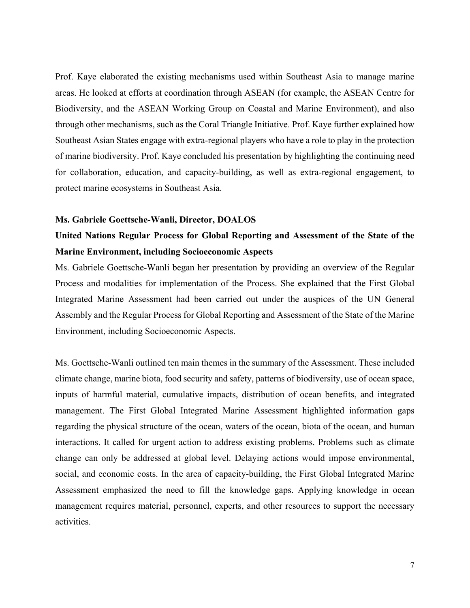Prof. Kaye elaborated the existing mechanisms used within Southeast Asia to manage marine areas. He looked at efforts at coordination through ASEAN (for example, the ASEAN Centre for Biodiversity, and the ASEAN Working Group on Coastal and Marine Environment), and also through other mechanisms, such as the Coral Triangle Initiative. Prof. Kaye further explained how Southeast Asian States engage with extra-regional players who have a role to play in the protection of marine biodiversity. Prof. Kaye concluded his presentation by highlighting the continuing need for collaboration, education, and capacity-building, as well as extra-regional engagement, to protect marine ecosystems in Southeast Asia.

#### **Ms. Gabriele Goettsche-Wanli, Director, DOALOS**

# **United Nations Regular Process for Global Reporting and Assessment of the State of the Marine Environment, including Socioeconomic Aspects**

Ms. Gabriele Goettsche-Wanli began her presentation by providing an overview of the Regular Process and modalities for implementation of the Process. She explained that the First Global Integrated Marine Assessment had been carried out under the auspices of the UN General Assembly and the Regular Process for Global Reporting and Assessment of the State of the Marine Environment, including Socioeconomic Aspects.

Ms. Goettsche-Wanli outlined ten main themes in the summary of the Assessment. These included climate change, marine biota, food security and safety, patterns of biodiversity, use of ocean space, inputs of harmful material, cumulative impacts, distribution of ocean benefits, and integrated management. The First Global Integrated Marine Assessment highlighted information gaps regarding the physical structure of the ocean, waters of the ocean, biota of the ocean, and human interactions. It called for urgent action to address existing problems. Problems such as climate change can only be addressed at global level. Delaying actions would impose environmental, social, and economic costs. In the area of capacity-building, the First Global Integrated Marine Assessment emphasized the need to fill the knowledge gaps. Applying knowledge in ocean management requires material, personnel, experts, and other resources to support the necessary activities.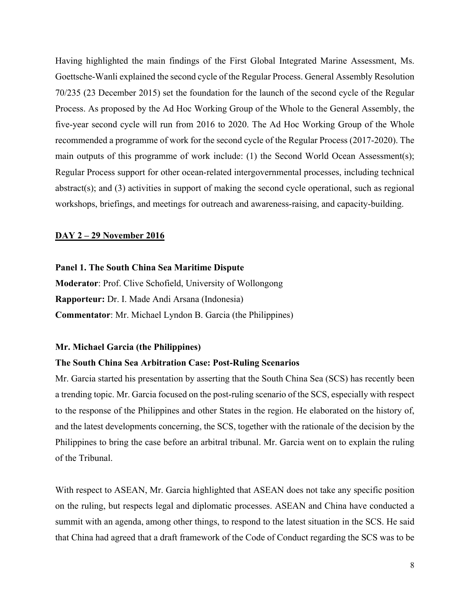Having highlighted the main findings of the First Global Integrated Marine Assessment, Ms. Goettsche-Wanli explained the second cycle of the Regular Process. General Assembly Resolution 70/235 (23 December 2015) set the foundation for the launch of the second cycle of the Regular Process. As proposed by the Ad Hoc Working Group of the Whole to the General Assembly, the five-year second cycle will run from 2016 to 2020. The Ad Hoc Working Group of the Whole recommended a programme of work for the second cycle of the Regular Process (2017-2020). The main outputs of this programme of work include: (1) the Second World Ocean Assessment(s); Regular Process support for other ocean-related intergovernmental processes, including technical abstract(s); and (3) activities in support of making the second cycle operational, such as regional workshops, briefings, and meetings for outreach and awareness-raising, and capacity-building.

### **DAY 2 – 29 November 2016**

### **Panel 1. The South China Sea Maritime Dispute**

**Moderator**: Prof. Clive Schofield, University of Wollongong **Rapporteur:** Dr. I. Made Andi Arsana (Indonesia) **Commentator**: Mr. Michael Lyndon B. Garcia (the Philippines)

### **Mr. Michael Garcia (the Philippines)**

### **The South China Sea Arbitration Case: Post-Ruling Scenarios**

Mr. Garcia started his presentation by asserting that the South China Sea (SCS) has recently been a trending topic. Mr. Garcia focused on the post-ruling scenario of the SCS, especially with respect to the response of the Philippines and other States in the region. He elaborated on the history of, and the latest developments concerning, the SCS, together with the rationale of the decision by the Philippines to bring the case before an arbitral tribunal. Mr. Garcia went on to explain the ruling of the Tribunal.

With respect to ASEAN, Mr. Garcia highlighted that ASEAN does not take any specific position on the ruling, but respects legal and diplomatic processes. ASEAN and China have conducted a summit with an agenda, among other things, to respond to the latest situation in the SCS. He said that China had agreed that a draft framework of the Code of Conduct regarding the SCS was to be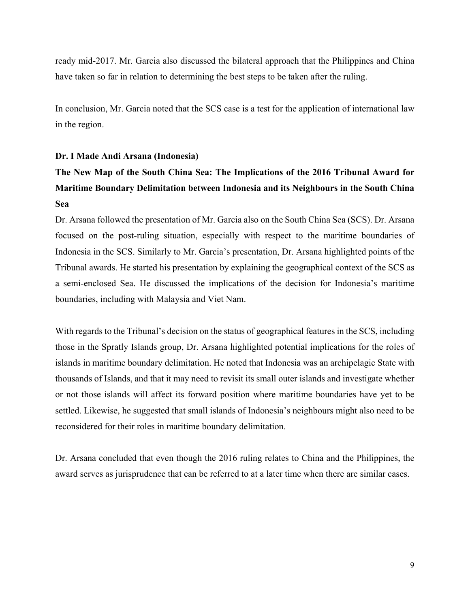ready mid-2017. Mr. Garcia also discussed the bilateral approach that the Philippines and China have taken so far in relation to determining the best steps to be taken after the ruling.

In conclusion, Mr. Garcia noted that the SCS case is a test for the application of international law in the region.

# **Dr. I Made Andi Arsana (Indonesia)**

# **The New Map of the South China Sea: The Implications of the 2016 Tribunal Award for Maritime Boundary Delimitation between Indonesia and its Neighbours in the South China Sea**

Dr. Arsana followed the presentation of Mr. Garcia also on the South China Sea (SCS). Dr. Arsana focused on the post-ruling situation, especially with respect to the maritime boundaries of Indonesia in the SCS. Similarly to Mr. Garcia's presentation, Dr. Arsana highlighted points of the Tribunal awards. He started his presentation by explaining the geographical context of the SCS as a semi-enclosed Sea. He discussed the implications of the decision for Indonesia's maritime boundaries, including with Malaysia and Viet Nam.

With regards to the Tribunal's decision on the status of geographical features in the SCS, including those in the Spratly Islands group, Dr. Arsana highlighted potential implications for the roles of islands in maritime boundary delimitation. He noted that Indonesia was an archipelagic State with thousands of Islands, and that it may need to revisit its small outer islands and investigate whether or not those islands will affect its forward position where maritime boundaries have yet to be settled. Likewise, he suggested that small islands of Indonesia's neighbours might also need to be reconsidered for their roles in maritime boundary delimitation.

Dr. Arsana concluded that even though the 2016 ruling relates to China and the Philippines, the award serves as jurisprudence that can be referred to at a later time when there are similar cases.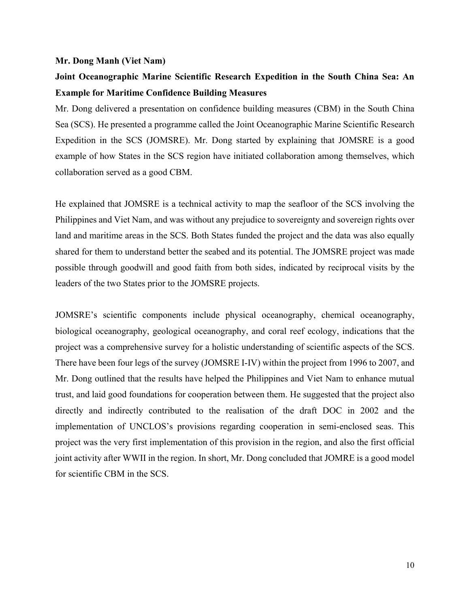### **Mr. Dong Manh (Viet Nam)**

# **Joint Oceanographic Marine Scientific Research Expedition in the South China Sea: An Example for Maritime Confidence Building Measures**

Mr. Dong delivered a presentation on confidence building measures (CBM) in the South China Sea (SCS). He presented a programme called the Joint Oceanographic Marine Scientific Research Expedition in the SCS (JOMSRE). Mr. Dong started by explaining that JOMSRE is a good example of how States in the SCS region have initiated collaboration among themselves, which collaboration served as a good CBM.

He explained that JOMSRE is a technical activity to map the seafloor of the SCS involving the Philippines and Viet Nam, and was without any prejudice to sovereignty and sovereign rights over land and maritime areas in the SCS. Both States funded the project and the data was also equally shared for them to understand better the seabed and its potential. The JOMSRE project was made possible through goodwill and good faith from both sides, indicated by reciprocal visits by the leaders of the two States prior to the JOMSRE projects.

JOMSRE's scientific components include physical oceanography, chemical oceanography, biological oceanography, geological oceanography, and coral reef ecology, indications that the project was a comprehensive survey for a holistic understanding of scientific aspects of the SCS. There have been four legs of the survey (JOMSRE I-IV) within the project from 1996 to 2007, and Mr. Dong outlined that the results have helped the Philippines and Viet Nam to enhance mutual trust, and laid good foundations for cooperation between them. He suggested that the project also directly and indirectly contributed to the realisation of the draft DOC in 2002 and the implementation of UNCLOS's provisions regarding cooperation in semi-enclosed seas. This project was the very first implementation of this provision in the region, and also the first official joint activity after WWII in the region. In short, Mr. Dong concluded that JOMRE is a good model for scientific CBM in the SCS.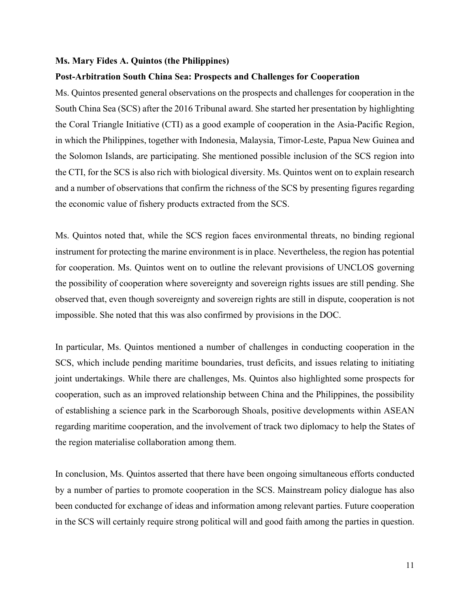### **Ms. Mary Fides A. Quintos (the Philippines)**

#### **Post-Arbitration South China Sea: Prospects and Challenges for Cooperation**

Ms. Quintos presented general observations on the prospects and challenges for cooperation in the South China Sea (SCS) after the 2016 Tribunal award. She started her presentation by highlighting the Coral Triangle Initiative (CTI) as a good example of cooperation in the Asia-Pacific Region, in which the Philippines, together with Indonesia, Malaysia, Timor-Leste, Papua New Guinea and the Solomon Islands, are participating. She mentioned possible inclusion of the SCS region into the CTI, for the SCS is also rich with biological diversity. Ms. Quintos went on to explain research and a number of observations that confirm the richness of the SCS by presenting figures regarding the economic value of fishery products extracted from the SCS.

Ms. Quintos noted that, while the SCS region faces environmental threats, no binding regional instrument for protecting the marine environment is in place. Nevertheless, the region has potential for cooperation. Ms. Quintos went on to outline the relevant provisions of UNCLOS governing the possibility of cooperation where sovereignty and sovereign rights issues are still pending. She observed that, even though sovereignty and sovereign rights are still in dispute, cooperation is not impossible. She noted that this was also confirmed by provisions in the DOC.

In particular, Ms. Quintos mentioned a number of challenges in conducting cooperation in the SCS, which include pending maritime boundaries, trust deficits, and issues relating to initiating joint undertakings. While there are challenges, Ms. Quintos also highlighted some prospects for cooperation, such as an improved relationship between China and the Philippines, the possibility of establishing a science park in the Scarborough Shoals, positive developments within ASEAN regarding maritime cooperation, and the involvement of track two diplomacy to help the States of the region materialise collaboration among them.

In conclusion, Ms. Quintos asserted that there have been ongoing simultaneous efforts conducted by a number of parties to promote cooperation in the SCS. Mainstream policy dialogue has also been conducted for exchange of ideas and information among relevant parties. Future cooperation in the SCS will certainly require strong political will and good faith among the parties in question.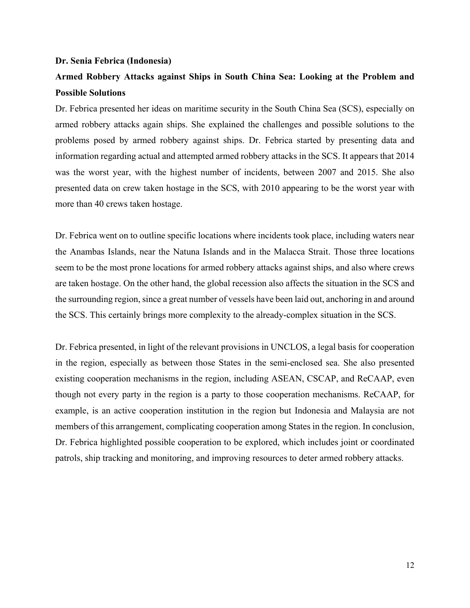### **Dr. Senia Febrica (Indonesia)**

# **Armed Robbery Attacks against Ships in South China Sea: Looking at the Problem and Possible Solutions**

Dr. Febrica presented her ideas on maritime security in the South China Sea (SCS), especially on armed robbery attacks again ships. She explained the challenges and possible solutions to the problems posed by armed robbery against ships. Dr. Febrica started by presenting data and information regarding actual and attempted armed robbery attacks in the SCS. It appears that 2014 was the worst year, with the highest number of incidents, between 2007 and 2015. She also presented data on crew taken hostage in the SCS, with 2010 appearing to be the worst year with more than 40 crews taken hostage.

Dr. Febrica went on to outline specific locations where incidents took place, including waters near the Anambas Islands, near the Natuna Islands and in the Malacca Strait. Those three locations seem to be the most prone locations for armed robbery attacks against ships, and also where crews are taken hostage. On the other hand, the global recession also affects the situation in the SCS and the surrounding region, since a great number of vessels have been laid out, anchoring in and around the SCS. This certainly brings more complexity to the already-complex situation in the SCS.

Dr. Febrica presented, in light of the relevant provisions in UNCLOS, a legal basis for cooperation in the region, especially as between those States in the semi-enclosed sea. She also presented existing cooperation mechanisms in the region, including ASEAN, CSCAP, and ReCAAP, even though not every party in the region is a party to those cooperation mechanisms. ReCAAP, for example, is an active cooperation institution in the region but Indonesia and Malaysia are not members of this arrangement, complicating cooperation among States in the region. In conclusion, Dr. Febrica highlighted possible cooperation to be explored, which includes joint or coordinated patrols, ship tracking and monitoring, and improving resources to deter armed robbery attacks.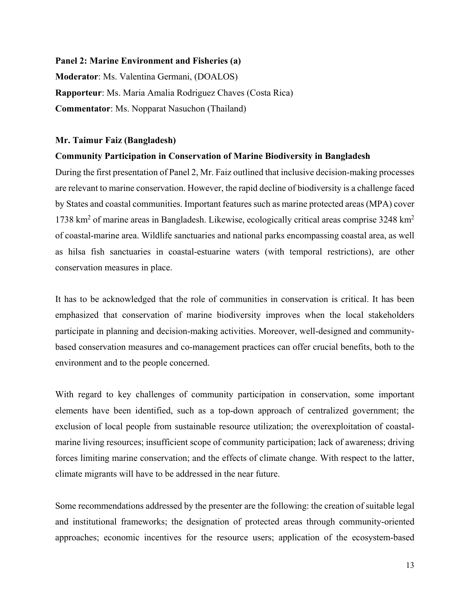### **Panel 2: Marine Environment and Fisheries (a)**

**Moderator**: Ms. Valentina Germani, (DOALOS) **Rapporteur**: Ms. Maria Amalia Rodriguez Chaves (Costa Rica) **Commentator**: Ms. Nopparat Nasuchon (Thailand)

### **Mr. Taimur Faiz (Bangladesh)**

### **Community Participation in Conservation of Marine Biodiversity in Bangladesh**

During the first presentation of Panel 2, Mr. Faiz outlined that inclusive decision-making processes are relevant to marine conservation. However, the rapid decline of biodiversity is a challenge faced by States and coastal communities. Important features such as marine protected areas (MPA) cover 1738 km<sup>2</sup> of marine areas in Bangladesh. Likewise, ecologically critical areas comprise 3248 km<sup>2</sup> of coastal-marine area. Wildlife sanctuaries and national parks encompassing coastal area, as well as hilsa fish sanctuaries in coastal-estuarine waters (with temporal restrictions), are other conservation measures in place.

It has to be acknowledged that the role of communities in conservation is critical. It has been emphasized that conservation of marine biodiversity improves when the local stakeholders participate in planning and decision-making activities. Moreover, well-designed and communitybased conservation measures and co-management practices can offer crucial benefits, both to the environment and to the people concerned.

With regard to key challenges of community participation in conservation, some important elements have been identified, such as a top-down approach of centralized government; the exclusion of local people from sustainable resource utilization; the overexploitation of coastalmarine living resources; insufficient scope of community participation; lack of awareness; driving forces limiting marine conservation; and the effects of climate change. With respect to the latter, climate migrants will have to be addressed in the near future.

Some recommendations addressed by the presenter are the following: the creation of suitable legal and institutional frameworks; the designation of protected areas through community-oriented approaches; economic incentives for the resource users; application of the ecosystem-based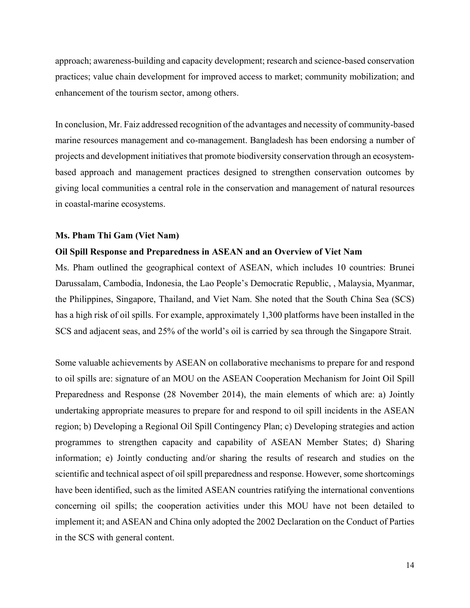approach; awareness-building and capacity development; research and science-based conservation practices; value chain development for improved access to market; community mobilization; and enhancement of the tourism sector, among others.

In conclusion, Mr. Faiz addressed recognition of the advantages and necessity of community-based marine resources management and co-management. Bangladesh has been endorsing a number of projects and development initiatives that promote biodiversity conservation through an ecosystembased approach and management practices designed to strengthen conservation outcomes by giving local communities a central role in the conservation and management of natural resources in coastal-marine ecosystems.

### **Ms. Pham Thi Gam (Viet Nam)**

#### **Oil Spill Response and Preparedness in ASEAN and an Overview of Viet Nam**

Ms. Pham outlined the geographical context of ASEAN, which includes 10 countries: Brunei Darussalam, Cambodia, Indonesia, the Lao People's Democratic Republic, , Malaysia, Myanmar, the Philippines, Singapore, Thailand, and Viet Nam. She noted that the South China Sea (SCS) has a high risk of oil spills. For example, approximately 1,300 platforms have been installed in the SCS and adjacent seas, and 25% of the world's oil is carried by sea through the Singapore Strait.

Some valuable achievements by ASEAN on collaborative mechanisms to prepare for and respond to oil spills are: signature of an MOU on the ASEAN Cooperation Mechanism for Joint Oil Spill Preparedness and Response (28 November 2014), the main elements of which are: a) Jointly undertaking appropriate measures to prepare for and respond to oil spill incidents in the ASEAN region; b) Developing a Regional Oil Spill Contingency Plan; c) Developing strategies and action programmes to strengthen capacity and capability of ASEAN Member States; d) Sharing information; e) Jointly conducting and/or sharing the results of research and studies on the scientific and technical aspect of oil spill preparedness and response. However, some shortcomings have been identified, such as the limited ASEAN countries ratifying the international conventions concerning oil spills; the cooperation activities under this MOU have not been detailed to implement it; and ASEAN and China only adopted the 2002 Declaration on the Conduct of Parties in the SCS with general content.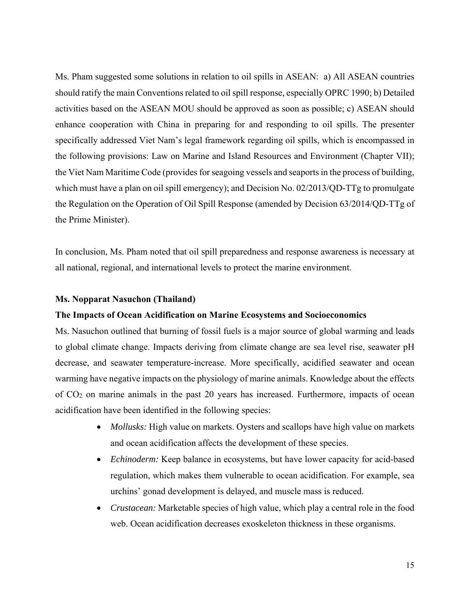Ms. Pham suggested some solutions in relation to oil spills in ASEAN: a) All ASEAN countries should ratify the main Conventions related to oil spill response, especially OPRC 1990; b) Detailed activities based on the ASEAN MOU should be approved as soon as possible; c) ASEAN should enhance cooperation with China in preparing for and responding to oil spills. The presenter specifically addressed Viet Nam's legal framework regarding oil spills, which is encompassed in the following provisions: Law on Marine and Island Resources and Environment (Chapter VII); the Viet Nam Maritime Code (provides for seagoing vessels and seaports in the process of building, which must have a plan on oil spill emergency); and Decision No. 02/2013/QD-TTg to promulgate the Regulation on the Operation of Oil Spill Response (amended by Decision 63/2014/QD-TTg of the Prime Minister).

In conclusion, Ms. Pham noted that oil spill preparedness and response awareness is necessary at all national, regional, and international levels to protect the marine environment.

### **Ms. Nopparat Nasuchon (Thailand)**

### **The Impacts of Ocean Acidification on Marine Ecosystems and Socioeconomics**

Ms. Nasuchon outlined that burning of fossil fuels is a major source of global warming and leads to global climate change. Impacts deriving from climate change are sea level rise, seawater pH decrease, and seawater temperature-increase. More specifically, acidified seawater and ocean warming have negative impacts on the physiology of marine animals. Knowledge about the effects of CO2 on marine animals in the past 20 years has increased. Furthermore, impacts of ocean acidification have been identified in the following species:

- *Mollusks:* High value on markets. Oysters and scallops have high value on markets and ocean acidification affects the development of these species.
- *Echinoderm:* Keep balance in ecosystems, but have lower capacity for acid-based regulation, which makes them vulnerable to ocean acidification. For example, sea urchins' gonad development is delayed, and muscle mass is reduced.
- *Crustacean:* Marketable species of high value, which play a central role in the food web. Ocean acidification decreases exoskeleton thickness in these organisms.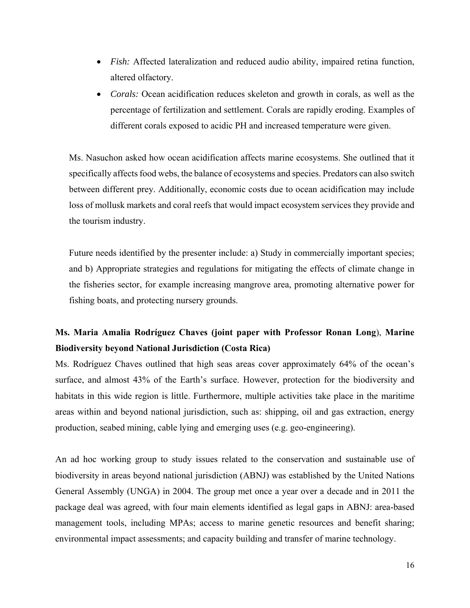- *Fish:* Affected lateralization and reduced audio ability, impaired retina function, altered olfactory.
- *Corals:* Ocean acidification reduces skeleton and growth in corals, as well as the percentage of fertilization and settlement. Corals are rapidly eroding. Examples of different corals exposed to acidic PH and increased temperature were given.

Ms. Nasuchon asked how ocean acidification affects marine ecosystems. She outlined that it specifically affects food webs, the balance of ecosystems and species. Predators can also switch between different prey. Additionally, economic costs due to ocean acidification may include loss of mollusk markets and coral reefs that would impact ecosystem services they provide and the tourism industry.

Future needs identified by the presenter include: a) Study in commercially important species; and b) Appropriate strategies and regulations for mitigating the effects of climate change in the fisheries sector, for example increasing mangrove area, promoting alternative power for fishing boats, and protecting nursery grounds.

# **Ms. Maria Amalia Rodríguez Chaves (joint paper with Professor Ronan Long**), **Marine Biodiversity beyond National Jurisdiction (Costa Rica)**

Ms. Rodríguez Chaves outlined that high seas areas cover approximately 64% of the ocean's surface, and almost 43% of the Earth's surface. However, protection for the biodiversity and habitats in this wide region is little. Furthermore, multiple activities take place in the maritime areas within and beyond national jurisdiction, such as: shipping, oil and gas extraction, energy production, seabed mining, cable lying and emerging uses (e.g. geo-engineering).

An ad hoc working group to study issues related to the conservation and sustainable use of biodiversity in areas beyond national jurisdiction (ABNJ) was established by the United Nations General Assembly (UNGA) in 2004. The group met once a year over a decade and in 2011 the package deal was agreed, with four main elements identified as legal gaps in ABNJ: area-based management tools, including MPAs; access to marine genetic resources and benefit sharing; environmental impact assessments; and capacity building and transfer of marine technology.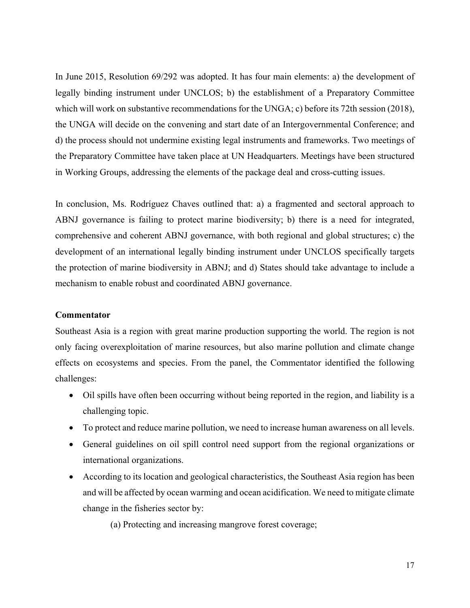In June 2015, Resolution 69/292 was adopted. It has four main elements: a) the development of legally binding instrument under UNCLOS; b) the establishment of a Preparatory Committee which will work on substantive recommendations for the UNGA; c) before its 72th session (2018), the UNGA will decide on the convening and start date of an Intergovernmental Conference; and d) the process should not undermine existing legal instruments and frameworks. Two meetings of the Preparatory Committee have taken place at UN Headquarters. Meetings have been structured in Working Groups, addressing the elements of the package deal and cross-cutting issues.

In conclusion, Ms. Rodríguez Chaves outlined that: a) a fragmented and sectoral approach to ABNJ governance is failing to protect marine biodiversity; b) there is a need for integrated, comprehensive and coherent ABNJ governance, with both regional and global structures; c) the development of an international legally binding instrument under UNCLOS specifically targets the protection of marine biodiversity in ABNJ; and d) States should take advantage to include a mechanism to enable robust and coordinated ABNJ governance.

### **Commentator**

Southeast Asia is a region with great marine production supporting the world. The region is not only facing overexploitation of marine resources, but also marine pollution and climate change effects on ecosystems and species. From the panel, the Commentator identified the following challenges:

- Oil spills have often been occurring without being reported in the region, and liability is a challenging topic.
- To protect and reduce marine pollution, we need to increase human awareness on all levels.
- General guidelines on oil spill control need support from the regional organizations or international organizations.
- According to its location and geological characteristics, the Southeast Asia region has been and will be affected by ocean warming and ocean acidification. We need to mitigate climate change in the fisheries sector by:

(a) Protecting and increasing mangrove forest coverage;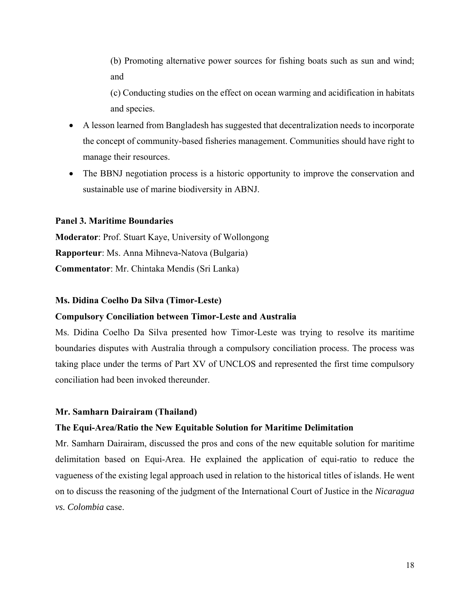(b) Promoting alternative power sources for fishing boats such as sun and wind; and

(c) Conducting studies on the effect on ocean warming and acidification in habitats and species.

- A lesson learned from Bangladesh has suggested that decentralization needs to incorporate the concept of community-based fisheries management. Communities should have right to manage their resources.
- The BBNJ negotiation process is a historic opportunity to improve the conservation and sustainable use of marine biodiversity in ABNJ.

### **Panel 3. Maritime Boundaries**

**Moderator**: Prof. Stuart Kaye, University of Wollongong **Rapporteur**: Ms. Anna Mihneva-Natova (Bulgaria) **Commentator**: Mr. Chintaka Mendis (Sri Lanka)

# **Ms. Didina Coelho Da Silva (Timor-Leste)**

# **Compulsory Conciliation between Timor-Leste and Australia**

Ms. Didina Coelho Da Silva presented how Timor-Leste was trying to resolve its maritime boundaries disputes with Australia through a compulsory conciliation process. The process was taking place under the terms of Part XV of UNCLOS and represented the first time compulsory conciliation had been invoked thereunder.

#### **Mr. Samharn Dairairam (Thailand)**

### **The Equi-Area/Ratio the New Equitable Solution for Maritime Delimitation**

Mr. Samharn Dairairam, discussed the pros and cons of the new equitable solution for maritime delimitation based on Equi-Area. He explained the application of equi-ratio to reduce the vagueness of the existing legal approach used in relation to the historical titles of islands. He went on to discuss the reasoning of the judgment of the International Court of Justice in the *Nicaragua vs. Colombia* case.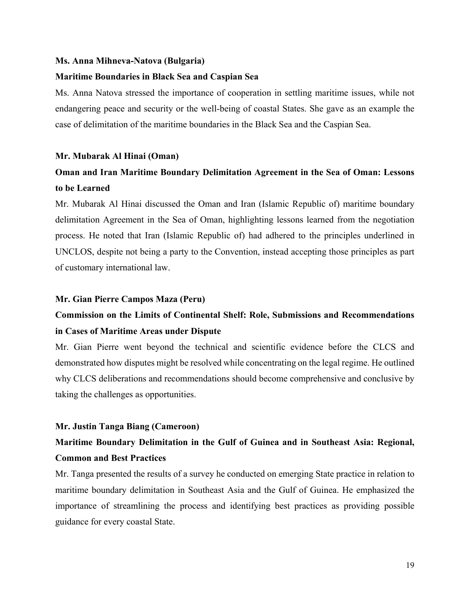#### **Ms. Anna Mihneva-Natova (Bulgaria)**

### **Maritime Boundaries in Black Sea and Caspian Sea**

Ms. Anna Natova stressed the importance of cooperation in settling maritime issues, while not endangering peace and security or the well-being of coastal States. She gave as an example the case of delimitation of the maritime boundaries in the Black Sea and the Caspian Sea.

### **Mr. Mubarak Al Hinai (Oman)**

# **Oman and Iran Maritime Boundary Delimitation Agreement in the Sea of Oman: Lessons to be Learned**

Mr. Mubarak Al Hinai discussed the Oman and Iran (Islamic Republic of) maritime boundary delimitation Agreement in the Sea of Oman, highlighting lessons learned from the negotiation process. He noted that Iran (Islamic Republic of) had adhered to the principles underlined in UNCLOS, despite not being a party to the Convention, instead accepting those principles as part of customary international law.

### **Mr. Gian Pierre Campos Maza (Peru)**

# **Commission on the Limits of Continental Shelf: Role, Submissions and Recommendations in Cases of Maritime Areas under Dispute**

Mr. Gian Pierre went beyond the technical and scientific evidence before the CLCS and demonstrated how disputes might be resolved while concentrating on the legal regime. He outlined why CLCS deliberations and recommendations should become comprehensive and conclusive by taking the challenges as opportunities.

### **Mr. Justin Tanga Biang (Cameroon)**

# **Maritime Boundary Delimitation in the Gulf of Guinea and in Southeast Asia: Regional, Common and Best Practices**

Mr. Tanga presented the results of a survey he conducted on emerging State practice in relation to maritime boundary delimitation in Southeast Asia and the Gulf of Guinea. He emphasized the importance of streamlining the process and identifying best practices as providing possible guidance for every coastal State.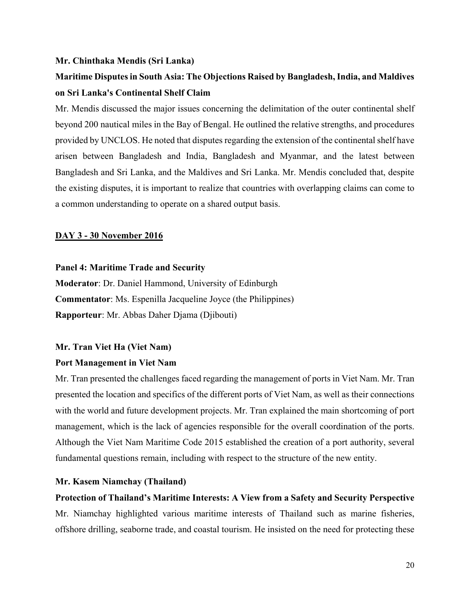### **Mr. Chinthaka Mendis (Sri Lanka)**

# **Maritime Disputes in South Asia: The Objections Raised by Bangladesh, India, and Maldives on Sri Lanka's Continental Shelf Claim**

Mr. Mendis discussed the major issues concerning the delimitation of the outer continental shelf beyond 200 nautical miles in the Bay of Bengal. He outlined the relative strengths, and procedures provided by UNCLOS. He noted that disputes regarding the extension of the continental shelf have arisen between Bangladesh and India, Bangladesh and Myanmar, and the latest between Bangladesh and Sri Lanka, and the Maldives and Sri Lanka. Mr. Mendis concluded that, despite the existing disputes, it is important to realize that countries with overlapping claims can come to a common understanding to operate on a shared output basis.

### **DAY 3 - 30 November 2016**

## **Panel 4: Maritime Trade and Security**

**Moderator**: Dr. Daniel Hammond, University of Edinburgh **Commentator**: Ms. Espenilla Jacqueline Joyce (the Philippines) **Rapporteur**: Mr. Abbas Daher Djama (Djibouti)

### **Mr. Tran Viet Ha (Viet Nam)**

### **Port Management in Viet Nam**

Mr. Tran presented the challenges faced regarding the management of ports in Viet Nam. Mr. Tran presented the location and specifics of the different ports of Viet Nam, as well as their connections with the world and future development projects. Mr. Tran explained the main shortcoming of port management, which is the lack of agencies responsible for the overall coordination of the ports. Although the Viet Nam Maritime Code 2015 established the creation of a port authority, several fundamental questions remain, including with respect to the structure of the new entity.

### **Mr. Kasem Niamchay (Thailand)**

# **Protection of Thailand's Maritime Interests: A View from a Safety and Security Perspective**  Mr. Niamchay highlighted various maritime interests of Thailand such as marine fisheries, offshore drilling, seaborne trade, and coastal tourism. He insisted on the need for protecting these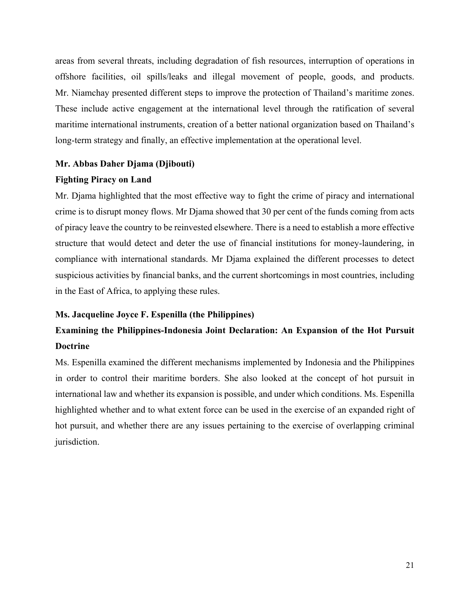areas from several threats, including degradation of fish resources, interruption of operations in offshore facilities, oil spills/leaks and illegal movement of people, goods, and products. Mr. Niamchay presented different steps to improve the protection of Thailand's maritime zones. These include active engagement at the international level through the ratification of several maritime international instruments, creation of a better national organization based on Thailand's long-term strategy and finally, an effective implementation at the operational level.

# **Mr. Abbas Daher Djama (Djibouti)**

### **Fighting Piracy on Land**

Mr. Djama highlighted that the most effective way to fight the crime of piracy and international crime is to disrupt money flows. Mr Djama showed that 30 per cent of the funds coming from acts of piracy leave the country to be reinvested elsewhere. There is a need to establish a more effective structure that would detect and deter the use of financial institutions for money-laundering, in compliance with international standards. Mr Djama explained the different processes to detect suspicious activities by financial banks, and the current shortcomings in most countries, including in the East of Africa, to applying these rules.

# **Ms. Jacqueline Joyce F. Espenilla (the Philippines)**

# **Examining the Philippines-Indonesia Joint Declaration: An Expansion of the Hot Pursuit Doctrine**

Ms. Espenilla examined the different mechanisms implemented by Indonesia and the Philippines in order to control their maritime borders. She also looked at the concept of hot pursuit in international law and whether its expansion is possible, and under which conditions. Ms. Espenilla highlighted whether and to what extent force can be used in the exercise of an expanded right of hot pursuit, and whether there are any issues pertaining to the exercise of overlapping criminal jurisdiction.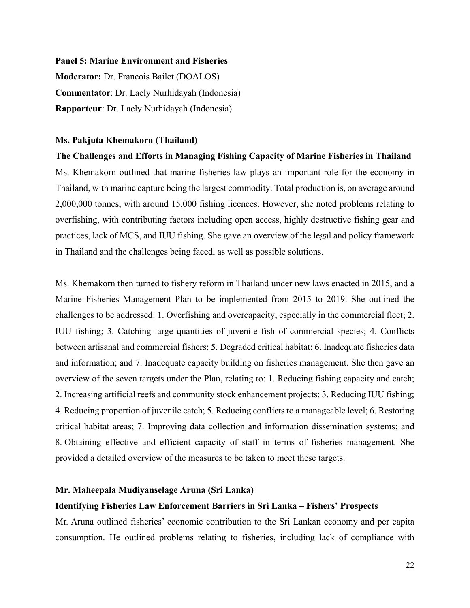#### **Panel 5: Marine Environment and Fisheries**

**Moderator:** Dr. Francois Bailet (DOALOS) **Commentator**: Dr. Laely Nurhidayah (Indonesia) **Rapporteur**: Dr. Laely Nurhidayah (Indonesia)

### **Ms. Pakjuta Khemakorn (Thailand)**

**The Challenges and Efforts in Managing Fishing Capacity of Marine Fisheries in Thailand**  Ms. Khemakorn outlined that marine fisheries law plays an important role for the economy in Thailand, with marine capture being the largest commodity. Total production is, on average around 2,000,000 tonnes, with around 15,000 fishing licences. However, she noted problems relating to overfishing, with contributing factors including open access, highly destructive fishing gear and practices, lack of MCS, and IUU fishing. She gave an overview of the legal and policy framework in Thailand and the challenges being faced, as well as possible solutions.

Ms. Khemakorn then turned to fishery reform in Thailand under new laws enacted in 2015, and a Marine Fisheries Management Plan to be implemented from 2015 to 2019. She outlined the challenges to be addressed: 1. Overfishing and overcapacity, especially in the commercial fleet; 2. IUU fishing; 3. Catching large quantities of juvenile fish of commercial species; 4. Conflicts between artisanal and commercial fishers; 5. Degraded critical habitat; 6. Inadequate fisheries data and information; and 7. Inadequate capacity building on fisheries management. She then gave an overview of the seven targets under the Plan, relating to: 1. Reducing fishing capacity and catch; 2. Increasing artificial reefs and community stock enhancement projects; 3. Reducing IUU fishing; 4. Reducing proportion of juvenile catch; 5. Reducing conflicts to a manageable level; 6. Restoring critical habitat areas; 7. Improving data collection and information dissemination systems; and 8. Obtaining effective and efficient capacity of staff in terms of fisheries management. She provided a detailed overview of the measures to be taken to meet these targets.

# **Mr. Maheepala Mudiyanselage Aruna (Sri Lanka)**

## **Identifying Fisheries Law Enforcement Barriers in Sri Lanka – Fishers' Prospects**

Mr. Aruna outlined fisheries' economic contribution to the Sri Lankan economy and per capita consumption. He outlined problems relating to fisheries, including lack of compliance with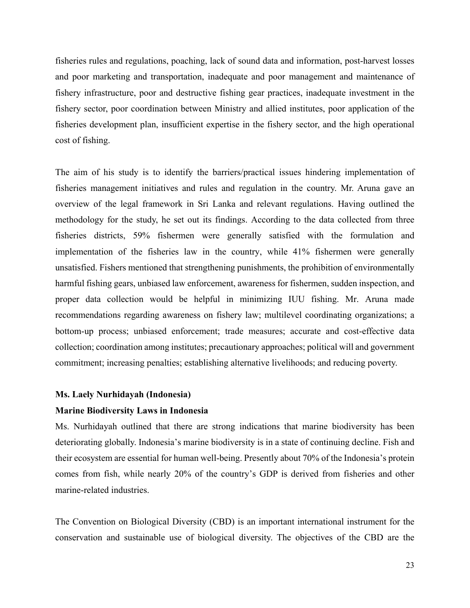fisheries rules and regulations, poaching, lack of sound data and information, post-harvest losses and poor marketing and transportation, inadequate and poor management and maintenance of fishery infrastructure, poor and destructive fishing gear practices, inadequate investment in the fishery sector, poor coordination between Ministry and allied institutes, poor application of the fisheries development plan, insufficient expertise in the fishery sector, and the high operational cost of fishing.

The aim of his study is to identify the barriers/practical issues hindering implementation of fisheries management initiatives and rules and regulation in the country. Mr. Aruna gave an overview of the legal framework in Sri Lanka and relevant regulations. Having outlined the methodology for the study, he set out its findings. According to the data collected from three fisheries districts, 59% fishermen were generally satisfied with the formulation and implementation of the fisheries law in the country, while 41% fishermen were generally unsatisfied. Fishers mentioned that strengthening punishments, the prohibition of environmentally harmful fishing gears, unbiased law enforcement, awareness for fishermen, sudden inspection, and proper data collection would be helpful in minimizing IUU fishing. Mr. Aruna made recommendations regarding awareness on fishery law; multilevel coordinating organizations; a bottom-up process; unbiased enforcement; trade measures; accurate and cost-effective data collection; coordination among institutes; precautionary approaches; political will and government commitment; increasing penalties; establishing alternative livelihoods; and reducing poverty.

### **Ms. Laely Nurhidayah (Indonesia)**

### **Marine Biodiversity Laws in Indonesia**

Ms. Nurhidayah outlined that there are strong indications that marine biodiversity has been deteriorating globally. Indonesia's marine biodiversity is in a state of continuing decline. Fish and their ecosystem are essential for human well-being. Presently about 70% of the Indonesia's protein comes from fish, while nearly 20% of the country's GDP is derived from fisheries and other marine-related industries.

The Convention on Biological Diversity (CBD) is an important international instrument for the conservation and sustainable use of biological diversity. The objectives of the CBD are the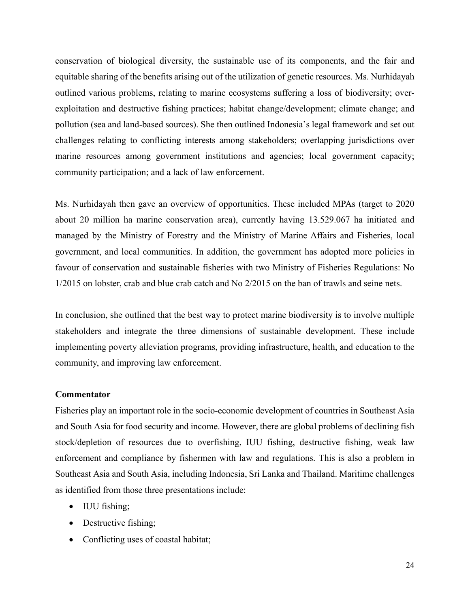conservation of biological diversity, the sustainable use of its components, and the fair and equitable sharing of the benefits arising out of the utilization of genetic resources. Ms. Nurhidayah outlined various problems, relating to marine ecosystems suffering a loss of biodiversity; overexploitation and destructive fishing practices; habitat change/development; climate change; and pollution (sea and land-based sources). She then outlined Indonesia's legal framework and set out challenges relating to conflicting interests among stakeholders; overlapping jurisdictions over marine resources among government institutions and agencies; local government capacity; community participation; and a lack of law enforcement.

Ms. Nurhidayah then gave an overview of opportunities. These included MPAs (target to 2020 about 20 million ha marine conservation area), currently having 13.529.067 ha initiated and managed by the Ministry of Forestry and the Ministry of Marine Affairs and Fisheries, local government, and local communities. In addition, the government has adopted more policies in favour of conservation and sustainable fisheries with two Ministry of Fisheries Regulations: No 1/2015 on lobster, crab and blue crab catch and No 2/2015 on the ban of trawls and seine nets.

In conclusion, she outlined that the best way to protect marine biodiversity is to involve multiple stakeholders and integrate the three dimensions of sustainable development. These include implementing poverty alleviation programs, providing infrastructure, health, and education to the community, and improving law enforcement.

### **Commentator**

Fisheries play an important role in the socio-economic development of countries in Southeast Asia and South Asia for food security and income. However, there are global problems of declining fish stock/depletion of resources due to overfishing, IUU fishing, destructive fishing, weak law enforcement and compliance by fishermen with law and regulations. This is also a problem in Southeast Asia and South Asia, including Indonesia, Sri Lanka and Thailand. Maritime challenges as identified from those three presentations include:

- IUU fishing;
- Destructive fishing;
- Conflicting uses of coastal habitat;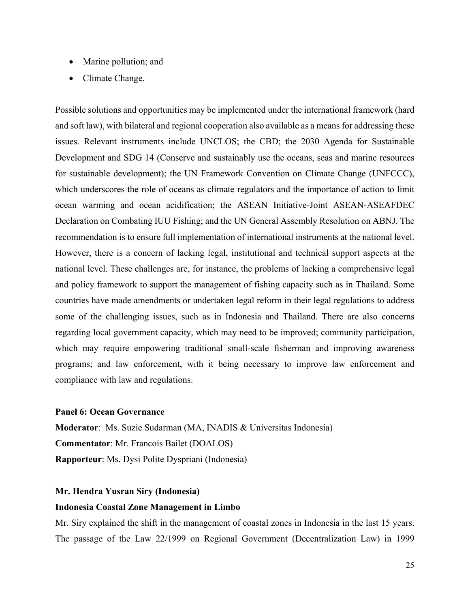- Marine pollution; and
- Climate Change.

Possible solutions and opportunities may be implemented under the international framework (hard and soft law), with bilateral and regional cooperation also available as a means for addressing these issues. Relevant instruments include UNCLOS; the CBD; the 2030 Agenda for Sustainable Development and SDG 14 (Conserve and sustainably use the oceans, seas and marine resources for sustainable development); the UN Framework Convention on Climate Change (UNFCCC), which underscores the role of oceans as climate regulators and the importance of action to limit ocean warming and ocean acidification; the ASEAN Initiative-Joint ASEAN-ASEAFDEC Declaration on Combating IUU Fishing; and the UN General Assembly Resolution on ABNJ. The recommendation is to ensure full implementation of international instruments at the national level. However, there is a concern of lacking legal, institutional and technical support aspects at the national level. These challenges are, for instance, the problems of lacking a comprehensive legal and policy framework to support the management of fishing capacity such as in Thailand. Some countries have made amendments or undertaken legal reform in their legal regulations to address some of the challenging issues, such as in Indonesia and Thailand. There are also concerns regarding local government capacity, which may need to be improved; community participation, which may require empowering traditional small-scale fisherman and improving awareness programs; and law enforcement, with it being necessary to improve law enforcement and compliance with law and regulations.

### **Panel 6: Ocean Governance**

**Moderator**: Ms. Suzie Sudarman (MA, INADIS & Universitas Indonesia) **Commentator**: Mr. Francois Bailet (DOALOS) **Rapporteur**: Ms. Dysi Polite Dyspriani (Indonesia)

# **Mr. Hendra Yusran Siry (Indonesia)**

### **Indonesia Coastal Zone Management in Limbo**

Mr. Siry explained the shift in the management of coastal zones in Indonesia in the last 15 years. The passage of the Law 22/1999 on Regional Government (Decentralization Law) in 1999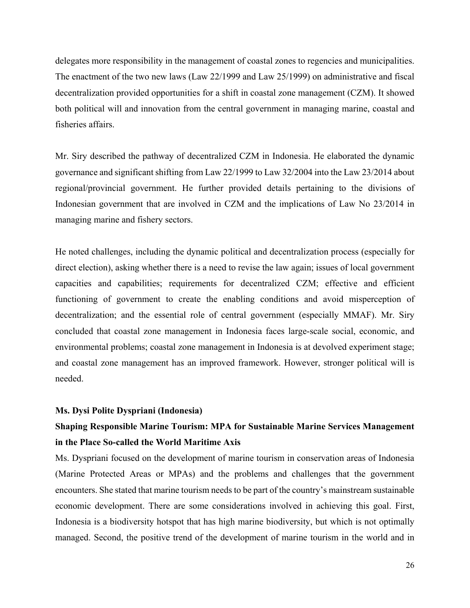delegates more responsibility in the management of coastal zones to regencies and municipalities. The enactment of the two new laws (Law 22/1999 and Law 25/1999) on administrative and fiscal decentralization provided opportunities for a shift in coastal zone management (CZM). It showed both political will and innovation from the central government in managing marine, coastal and fisheries affairs.

Mr. Siry described the pathway of decentralized CZM in Indonesia. He elaborated the dynamic governance and significant shifting from Law 22/1999 to Law 32/2004 into the Law 23/2014 about regional/provincial government. He further provided details pertaining to the divisions of Indonesian government that are involved in CZM and the implications of Law No 23/2014 in managing marine and fishery sectors.

He noted challenges, including the dynamic political and decentralization process (especially for direct election), asking whether there is a need to revise the law again; issues of local government capacities and capabilities; requirements for decentralized CZM; effective and efficient functioning of government to create the enabling conditions and avoid misperception of decentralization; and the essential role of central government (especially MMAF). Mr. Siry concluded that coastal zone management in Indonesia faces large-scale social, economic, and environmental problems; coastal zone management in Indonesia is at devolved experiment stage; and coastal zone management has an improved framework. However, stronger political will is needed.

## **Ms. Dysi Polite Dyspriani (Indonesia)**

# **Shaping Responsible Marine Tourism: MPA for Sustainable Marine Services Management in the Place So-called the World Maritime Axis**

Ms. Dyspriani focused on the development of marine tourism in conservation areas of Indonesia (Marine Protected Areas or MPAs) and the problems and challenges that the government encounters. She stated that marine tourism needs to be part of the country's mainstream sustainable economic development. There are some considerations involved in achieving this goal. First, Indonesia is a biodiversity hotspot that has high marine biodiversity, but which is not optimally managed. Second, the positive trend of the development of marine tourism in the world and in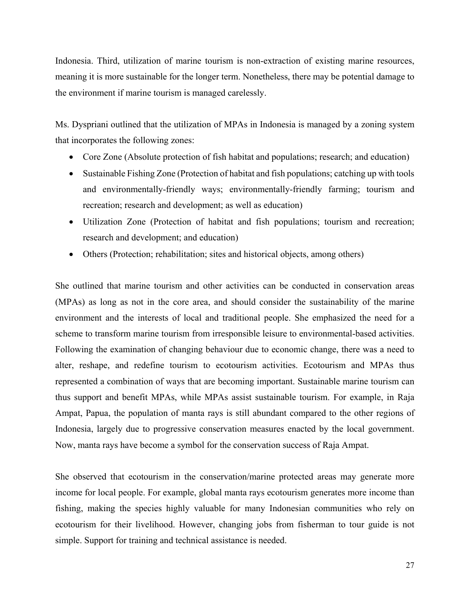Indonesia. Third, utilization of marine tourism is non-extraction of existing marine resources, meaning it is more sustainable for the longer term. Nonetheless, there may be potential damage to the environment if marine tourism is managed carelessly.

Ms. Dyspriani outlined that the utilization of MPAs in Indonesia is managed by a zoning system that incorporates the following zones:

- Core Zone (Absolute protection of fish habitat and populations; research; and education)
- Sustainable Fishing Zone (Protection of habitat and fish populations; catching up with tools and environmentally-friendly ways; environmentally-friendly farming; tourism and recreation; research and development; as well as education)
- Utilization Zone (Protection of habitat and fish populations; tourism and recreation; research and development; and education)
- Others (Protection; rehabilitation; sites and historical objects, among others)

She outlined that marine tourism and other activities can be conducted in conservation areas (MPAs) as long as not in the core area, and should consider the sustainability of the marine environment and the interests of local and traditional people. She emphasized the need for a scheme to transform marine tourism from irresponsible leisure to environmental-based activities. Following the examination of changing behaviour due to economic change, there was a need to alter, reshape, and redefine tourism to ecotourism activities. Ecotourism and MPAs thus represented a combination of ways that are becoming important. Sustainable marine tourism can thus support and benefit MPAs, while MPAs assist sustainable tourism. For example, in Raja Ampat, Papua, the population of manta rays is still abundant compared to the other regions of Indonesia, largely due to progressive conservation measures enacted by the local government. Now, manta rays have become a symbol for the conservation success of Raja Ampat.

She observed that ecotourism in the conservation/marine protected areas may generate more income for local people. For example, global manta rays ecotourism generates more income than fishing, making the species highly valuable for many Indonesian communities who rely on ecotourism for their livelihood. However, changing jobs from fisherman to tour guide is not simple. Support for training and technical assistance is needed.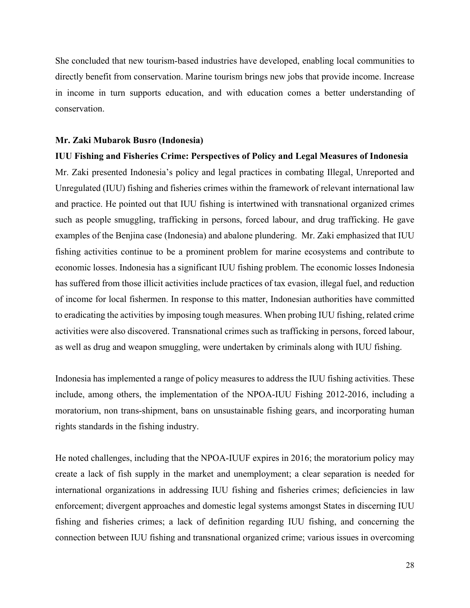She concluded that new tourism-based industries have developed, enabling local communities to directly benefit from conservation. Marine tourism brings new jobs that provide income. Increase in income in turn supports education, and with education comes a better understanding of conservation.

### **Mr. Zaki Mubarok Busro (Indonesia)**

### **IUU Fishing and Fisheries Crime: Perspectives of Policy and Legal Measures of Indonesia**

Mr. Zaki presented Indonesia's policy and legal practices in combating Illegal, Unreported and Unregulated (IUU) fishing and fisheries crimes within the framework of relevant international law and practice. He pointed out that IUU fishing is intertwined with transnational organized crimes such as people smuggling, trafficking in persons, forced labour, and drug trafficking. He gave examples of the Benjina case (Indonesia) and abalone plundering. Mr. Zaki emphasized that IUU fishing activities continue to be a prominent problem for marine ecosystems and contribute to economic losses. Indonesia has a significant IUU fishing problem. The economic losses Indonesia has suffered from those illicit activities include practices of tax evasion, illegal fuel, and reduction of income for local fishermen. In response to this matter, Indonesian authorities have committed to eradicating the activities by imposing tough measures. When probing IUU fishing, related crime activities were also discovered. Transnational crimes such as trafficking in persons, forced labour, as well as drug and weapon smuggling, were undertaken by criminals along with IUU fishing.

Indonesia has implemented a range of policy measures to address the IUU fishing activities. These include, among others, the implementation of the NPOA-IUU Fishing 2012-2016, including a moratorium, non trans-shipment, bans on unsustainable fishing gears, and incorporating human rights standards in the fishing industry.

He noted challenges, including that the NPOA-IUUF expires in 2016; the moratorium policy may create a lack of fish supply in the market and unemployment; a clear separation is needed for international organizations in addressing IUU fishing and fisheries crimes; deficiencies in law enforcement; divergent approaches and domestic legal systems amongst States in discerning IUU fishing and fisheries crimes; a lack of definition regarding IUU fishing, and concerning the connection between IUU fishing and transnational organized crime; various issues in overcoming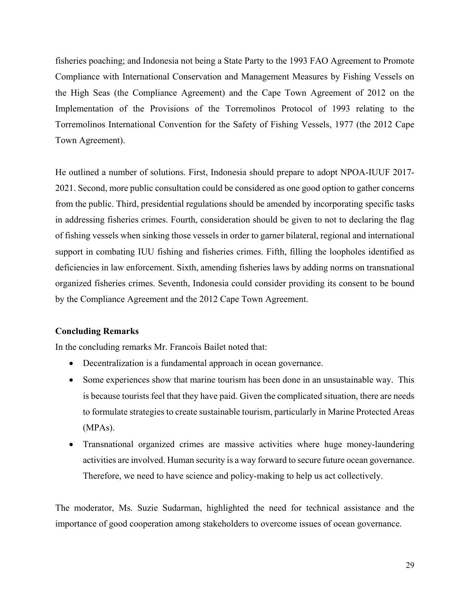fisheries poaching; and Indonesia not being a State Party to the 1993 FAO Agreement to Promote Compliance with International Conservation and Management Measures by Fishing Vessels on the High Seas (the Compliance Agreement) and the Cape Town Agreement of 2012 on the Implementation of the Provisions of the Torremolinos Protocol of 1993 relating to the Torremolinos International Convention for the Safety of Fishing Vessels, 1977 (the 2012 Cape Town Agreement).

He outlined a number of solutions. First, Indonesia should prepare to adopt NPOA-IUUF 2017- 2021. Second, more public consultation could be considered as one good option to gather concerns from the public. Third, presidential regulations should be amended by incorporating specific tasks in addressing fisheries crimes. Fourth, consideration should be given to not to declaring the flag of fishing vessels when sinking those vessels in order to garner bilateral, regional and international support in combating IUU fishing and fisheries crimes. Fifth, filling the loopholes identified as deficiencies in law enforcement. Sixth, amending fisheries laws by adding norms on transnational organized fisheries crimes. Seventh, Indonesia could consider providing its consent to be bound by the Compliance Agreement and the 2012 Cape Town Agreement.

# **Concluding Remarks**

In the concluding remarks Mr. Francois Bailet noted that:

- Decentralization is a fundamental approach in ocean governance.
- Some experiences show that marine tourism has been done in an unsustainable way. This is because tourists feel that they have paid. Given the complicated situation, there are needs to formulate strategies to create sustainable tourism, particularly in Marine Protected Areas (MPAs).
- Transnational organized crimes are massive activities where huge money-laundering activities are involved. Human security is a way forward to secure future ocean governance. Therefore, we need to have science and policy-making to help us act collectively.

The moderator, Ms. Suzie Sudarman, highlighted the need for technical assistance and the importance of good cooperation among stakeholders to overcome issues of ocean governance.